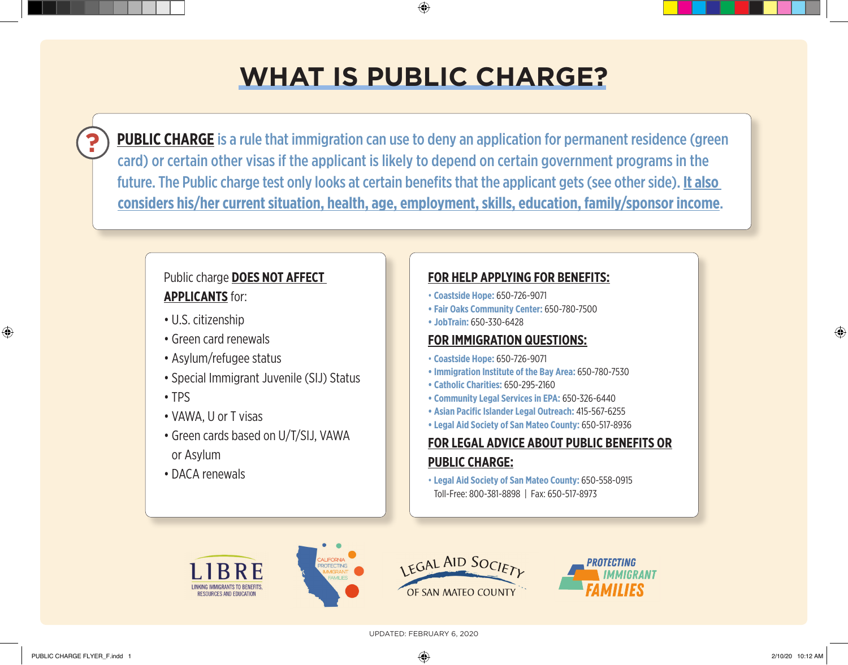# **WHAT IS PUBLIC CHARGE?**

♠

**PUBLIC CHARGE** is a rule that immigration can use to deny an application for permanent residence (green card) or certain other visas if the applicant is likely to depend on certain government programs in the future. The Public charge test only looks at certain benefits that the applicant gets (see other side). **It also considers his/her current situation, health, age, employment, skills, education, family/sponsor income**.

## Public charge **DOES NOT AFFECT APPLICANTS** for:

- U.S. citizenship
- Green card renewals
- Asylum/refugee status
- Special Immigrant Juvenile (SIJ) Status
- TPS
- VAWA, U or T visas
- Green cards based on U/T/SIJ, VAWA or Asylum
- DACA renewals

### **FOR HELP APPLYING FOR BENEFITS:**

- **Coastside Hope:** 650-726-9071
- **Fair Oaks Community Center:** 650-780-7500
- **JobTrain:** 650-330-6428

#### **FOR IMMIGRATION QUESTIONS:**

- **Coastside Hope:** 650-726-9071
- **Immigration Institute of the Bay Area:** 650-780-7530
- **Catholic Charities:** 650-295-2160
- **Community Legal Services in EPA:** 650-326-6440
- **Asian Pacific Islander Legal Outreach:** 415-567-6255
- **Legal Aid Society of San Mateo County:** 650-517-8936

## **FOR LEGAL ADVICE ABOUT PUBLIC BENEFITS OR PUBLIC CHARGE:**

• **Legal Aid Society of San Mateo County:** 650-558-0915 Toll-Free: 800-381-8898 | Fax: 650-517-8973







**?**

⊕

⊕